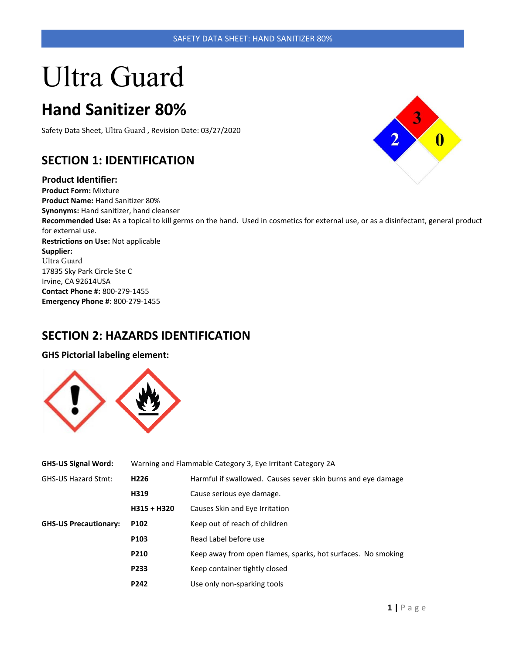# Ultra Guard

## **Hand Sanitizer 80%**

Safety Data Sheet, Ultra Guard , Revision Date: 03/27/2020

## **SECTION 1: IDENTIFICATION**

#### **Product Identifier:**

**Product Form:** Mixture **Product Name:** Hand Sanitizer 80% **Synonyms:** Hand sanitizer, hand cleanser **Recommended Use:** As a topical to kill germs on the hand. Used in cosmetics for external use, or as a disinfectant, general product for external use. **Restrictions on Use:** Not applicable **Supplier:**  Ultra Guard 17835 Sky Park Circle Ste C Irvine, CA 92614USA **Contact Phone #:** 800-279-1455 **Emergency Phone #**: 800-279-1455

## **SECTION 2: HAZARDS IDENTIFICATION**

**GHS Pictorial labeling element:**



| <b>GHS-US Signal Word:</b>   | Warning and Flammable Category 3, Eye Irritant Category 2A |                                                              |
|------------------------------|------------------------------------------------------------|--------------------------------------------------------------|
| <b>GHS-US Hazard Stmt:</b>   | H <sub>226</sub>                                           | Harmful if swallowed. Causes sever skin burns and eye damage |
|                              | H319                                                       | Cause serious eye damage.                                    |
|                              | $H315 + H320$                                              | Causes Skin and Eye Irritation                               |
| <b>GHS-US Precautionary:</b> | P <sub>102</sub>                                           | Keep out of reach of children                                |
|                              | P <sub>103</sub>                                           | Read Label before use                                        |
|                              | P210                                                       | Keep away from open flames, sparks, hot surfaces. No smoking |
|                              | P233                                                       | Keep container tightly closed                                |
|                              | P <sub>242</sub>                                           | Use only non-sparking tools                                  |

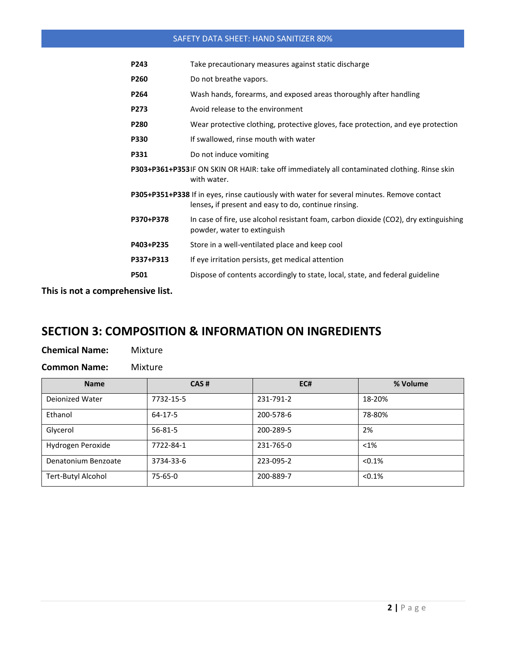| P243             | Take precautionary measures against static discharge                                                                                               |
|------------------|----------------------------------------------------------------------------------------------------------------------------------------------------|
| P <sub>260</sub> | Do not breathe vapors.                                                                                                                             |
| P <sub>264</sub> | Wash hands, forearms, and exposed areas thoroughly after handling                                                                                  |
| <b>P273</b>      | Avoid release to the environment                                                                                                                   |
| <b>P280</b>      | Wear protective clothing, protective gloves, face protection, and eye protection                                                                   |
| <b>P330</b>      | If swallowed, rinse mouth with water                                                                                                               |
| P331             | Do not induce vomiting                                                                                                                             |
|                  | P303+P361+P353IF ON SKIN OR HAIR: take off immediately all contaminated clothing. Rinse skin<br>with water.                                        |
|                  | P305+P351+P338 If in eyes, rinse cautiously with water for several minutes. Remove contact<br>lenses, if present and easy to do, continue rinsing. |
| P370+P378        | In case of fire, use alcohol resistant foam, carbon dioxide (CO2), dry extinguishing<br>powder, water to extinguish                                |
| P403+P235        | Store in a well-ventilated place and keep cool                                                                                                     |
| P337+P313        | If eye irritation persists, get medical attention                                                                                                  |
| <b>P501</b>      | Dispose of contents accordingly to state, local, state, and federal guideline                                                                      |
|                  |                                                                                                                                                    |

**This is not a comprehensive list.** 

## **SECTION 3: COMPOSITION & INFORMATION ON INGREDIENTS**

| <b>Chemical Name:</b> | Mixture |
|-----------------------|---------|
|                       |         |

**Common Name:** Mixture

| <b>Name</b>         | CAS#          | EC#       | % Volume |
|---------------------|---------------|-----------|----------|
| Deionized Water     | 7732-15-5     | 231-791-2 | 18-20%   |
| Ethanol             | 64-17-5       | 200-578-6 | 78-80%   |
| Glycerol            | $56 - 81 - 5$ | 200-289-5 | 2%       |
| Hydrogen Peroxide   | 7722-84-1     | 231-765-0 | $<$ 1%   |
| Denatonium Benzoate | 3734-33-6     | 223-095-2 | < 0.1%   |
| Tert-Butyl Alcohol  | $75-65-0$     | 200-889-7 | < 0.1%   |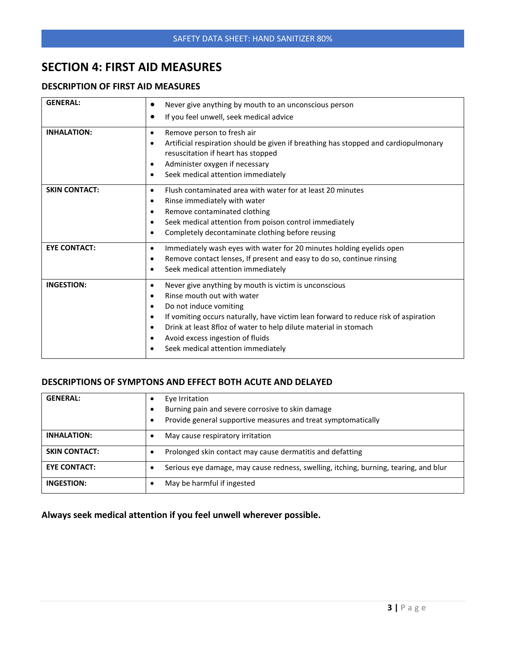## **SECTION 4: FIRST AID MEASURES**

#### **DESCRIPTION OF FIRST AID MEASURES**

| <b>GENERAL:</b>      | Never give anything by mouth to an unconscious person<br>٠<br>If you feel unwell, seek medical advice<br>٠                                                                                                                                                                                                                                                                                          |
|----------------------|-----------------------------------------------------------------------------------------------------------------------------------------------------------------------------------------------------------------------------------------------------------------------------------------------------------------------------------------------------------------------------------------------------|
| <b>INHALATION:</b>   | Remove person to fresh air<br>$\bullet$<br>Artificial respiration should be given if breathing has stopped and cardiopulmonary<br>$\bullet$<br>resuscitation if heart has stopped<br>Administer oxygen if necessary<br>$\bullet$<br>Seek medical attention immediately<br>$\bullet$                                                                                                                 |
| <b>SKIN CONTACT:</b> | Flush contaminated area with water for at least 20 minutes<br>$\bullet$<br>Rinse immediately with water<br>$\bullet$<br>Remove contaminated clothing<br>$\bullet$<br>Seek medical attention from poison control immediately<br>٠<br>Completely decontaminate clothing before reusing<br>٠                                                                                                           |
| <b>EYE CONTACT:</b>  | Immediately wash eyes with water for 20 minutes holding eyelids open<br>$\bullet$<br>Remove contact lenses, If present and easy to do so, continue rinsing<br>$\bullet$<br>Seek medical attention immediately<br>$\bullet$                                                                                                                                                                          |
| <b>INGESTION:</b>    | Never give anything by mouth is victim is unconscious<br>$\bullet$<br>Rinse mouth out with water<br>$\bullet$<br>Do not induce vomiting<br>٠<br>If vomiting occurs naturally, have victim lean forward to reduce risk of aspiration<br>$\bullet$<br>Drink at least 8floz of water to help dilute material in stomach<br>٠<br>Avoid excess ingestion of fluids<br>Seek medical attention immediately |

#### **DESCRIPTIONS OF SYMPTONS AND EFFECT BOTH ACUTE AND DELAYED**

| <b>GENERAL:</b>      | Eye Irritation<br>Burning pain and severe corrosive to skin damage<br>Provide general supportive measures and treat symptomatically<br>٠ |
|----------------------|------------------------------------------------------------------------------------------------------------------------------------------|
| <b>INHALATION:</b>   | May cause respiratory irritation                                                                                                         |
| <b>SKIN CONTACT:</b> | Prolonged skin contact may cause dermatitis and defatting                                                                                |
| <b>EYE CONTACT:</b>  | Serious eye damage, may cause redness, swelling, itching, burning, tearing, and blur                                                     |
| INGESTION:           | May be harmful if ingested                                                                                                               |

**Always seek medical attention if you feel unwell wherever possible.**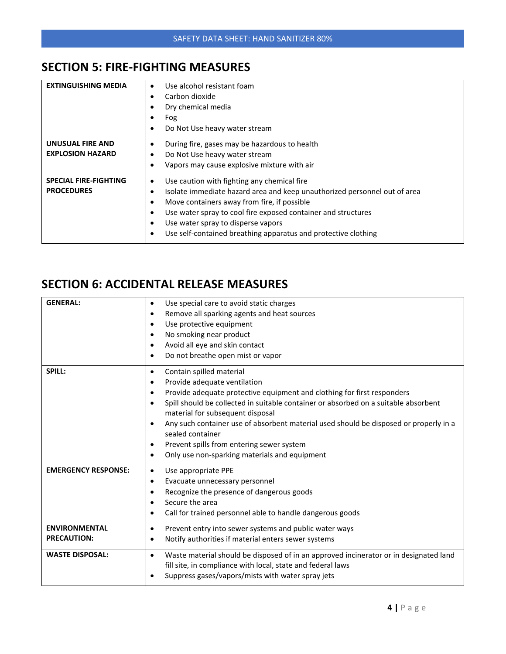## **SECTION 5: FIRE-FIGHTING MEASURES**

| <b>EXTINGUISHING MEDIA</b>                        | Use alcohol resistant foam<br>$\bullet$<br>Carbon dioxide<br>$\bullet$<br>Dry chemical media<br>$\bullet$<br>Fog<br>$\bullet$<br>Do Not Use heavy water stream<br>$\bullet$                                                                                                                                                                                                                    |
|---------------------------------------------------|------------------------------------------------------------------------------------------------------------------------------------------------------------------------------------------------------------------------------------------------------------------------------------------------------------------------------------------------------------------------------------------------|
| UNUSUAL FIRE AND<br><b>EXPLOSION HAZARD</b>       | During fire, gases may be hazardous to health<br>$\bullet$<br>Do Not Use heavy water stream<br>$\bullet$<br>Vapors may cause explosive mixture with air<br>٠                                                                                                                                                                                                                                   |
| <b>SPECIAL FIRE-FIGHTING</b><br><b>PROCEDURES</b> | Use caution with fighting any chemical fire<br>$\bullet$<br>Isolate immediate hazard area and keep unauthorized personnel out of area<br>٠<br>Move containers away from fire, if possible<br>٠<br>Use water spray to cool fire exposed container and structures<br>$\bullet$<br>Use water spray to disperse vapors<br>٠<br>Use self-contained breathing apparatus and protective clothing<br>٠ |

## **SECTION 6: ACCIDENTAL RELEASE MEASURES**

| <b>GENERAL:</b>                            | Use special care to avoid static charges<br>$\bullet$<br>Remove all sparking agents and heat sources<br>$\bullet$<br>Use protective equipment<br>٠<br>No smoking near product<br>$\bullet$<br>Avoid all eye and skin contact<br>$\bullet$<br>Do not breathe open mist or vapor<br>$\bullet$                                                                                                                                                                                                                                                                  |
|--------------------------------------------|--------------------------------------------------------------------------------------------------------------------------------------------------------------------------------------------------------------------------------------------------------------------------------------------------------------------------------------------------------------------------------------------------------------------------------------------------------------------------------------------------------------------------------------------------------------|
| SPILL:                                     | Contain spilled material<br>$\bullet$<br>Provide adequate ventilation<br>$\bullet$<br>Provide adequate protective equipment and clothing for first responders<br>٠<br>Spill should be collected in suitable container or absorbed on a suitable absorbent<br>$\bullet$<br>material for subsequent disposal<br>Any such container use of absorbent material used should be disposed or properly in a<br>$\bullet$<br>sealed container<br>Prevent spills from entering sewer system<br>$\bullet$<br>Only use non-sparking materials and equipment<br>$\bullet$ |
| <b>EMERGENCY RESPONSE:</b>                 | Use appropriate PPE<br>$\bullet$<br>Evacuate unnecessary personnel<br>$\bullet$<br>Recognize the presence of dangerous goods<br>$\bullet$<br>Secure the area<br>$\bullet$<br>Call for trained personnel able to handle dangerous goods<br>$\bullet$                                                                                                                                                                                                                                                                                                          |
| <b>ENVIRONMENTAL</b><br><b>PRECAUTION:</b> | Prevent entry into sewer systems and public water ways<br>$\bullet$<br>Notify authorities if material enters sewer systems<br>$\bullet$                                                                                                                                                                                                                                                                                                                                                                                                                      |
| <b>WASTE DISPOSAL:</b>                     | Waste material should be disposed of in an approved incinerator or in designated land<br>$\bullet$<br>fill site, in compliance with local, state and federal laws<br>Suppress gases/vapors/mists with water spray jets<br>$\bullet$                                                                                                                                                                                                                                                                                                                          |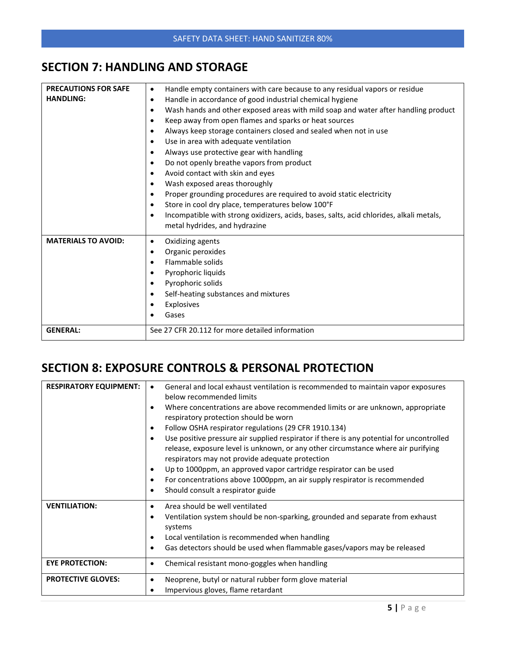## **SECTION 7: HANDLING AND STORAGE**

| <b>PRECAUTIONS FOR SAFE</b><br><b>HANDLING:</b> | Handle empty containers with care because to any residual vapors or residue<br>٠<br>Handle in accordance of good industrial chemical hygiene<br>$\bullet$<br>Wash hands and other exposed areas with mild soap and water after handling product<br>$\bullet$<br>Keep away from open flames and sparks or heat sources<br>$\bullet$                                                                                                                                                                |
|-------------------------------------------------|---------------------------------------------------------------------------------------------------------------------------------------------------------------------------------------------------------------------------------------------------------------------------------------------------------------------------------------------------------------------------------------------------------------------------------------------------------------------------------------------------|
|                                                 | Always keep storage containers closed and sealed when not in use<br>$\bullet$<br>Use in area with adequate ventilation<br>$\bullet$<br>$\bullet$                                                                                                                                                                                                                                                                                                                                                  |
|                                                 | Always use protective gear with handling<br>Do not openly breathe vapors from product<br>$\bullet$<br>Avoid contact with skin and eyes<br>$\bullet$<br>Wash exposed areas thoroughly<br>$\bullet$<br>Proper grounding procedures are required to avoid static electricity<br>$\bullet$<br>Store in cool dry place, temperatures below 100°F<br>$\bullet$<br>Incompatible with strong oxidizers, acids, bases, salts, acid chlorides, alkali metals,<br>$\bullet$<br>metal hydrides, and hydrazine |
| <b>MATERIALS TO AVOID:</b>                      | Oxidizing agents<br>$\bullet$<br>Organic peroxides<br>$\bullet$<br>Flammable solids<br>$\bullet$<br>Pyrophoric liquids<br>$\bullet$<br>Pyrophoric solids<br>$\bullet$<br>Self-heating substances and mixtures<br>$\bullet$<br>Explosives<br>Gases                                                                                                                                                                                                                                                 |
| <b>GENERAL:</b>                                 | See 27 CFR 20.112 for more detailed information                                                                                                                                                                                                                                                                                                                                                                                                                                                   |

## **SECTION 8: EXPOSURE CONTROLS & PERSONAL PROTECTION**

| <b>RESPIRATORY EQUIPMENT:</b> | General and local exhaust ventilation is recommended to maintain vapor exposures<br>below recommended limits<br>Where concentrations are above recommended limits or are unknown, appropriate<br>٠<br>respiratory protection should be worn<br>Follow OSHA respirator regulations (29 CFR 1910.134)<br>$\bullet$<br>Use positive pressure air supplied respirator if there is any potential for uncontrolled<br>$\bullet$<br>release, exposure level is unknown, or any other circumstance where air purifying<br>respirators may not provide adequate protection<br>Up to 1000ppm, an approved vapor cartridge respirator can be used<br>$\bullet$<br>For concentrations above 1000ppm, an air supply respirator is recommended<br>$\bullet$<br>Should consult a respirator guide<br>٠ |
|-------------------------------|-----------------------------------------------------------------------------------------------------------------------------------------------------------------------------------------------------------------------------------------------------------------------------------------------------------------------------------------------------------------------------------------------------------------------------------------------------------------------------------------------------------------------------------------------------------------------------------------------------------------------------------------------------------------------------------------------------------------------------------------------------------------------------------------|
| <b>VENTILIATION:</b>          | Area should be well ventilated<br>$\bullet$<br>Ventilation system should be non-sparking, grounded and separate from exhaust<br>$\bullet$<br>systems<br>Local ventilation is recommended when handling<br>$\bullet$<br>Gas detectors should be used when flammable gases/vapors may be released<br>٠                                                                                                                                                                                                                                                                                                                                                                                                                                                                                    |
| <b>EYE PROTECTION:</b>        | Chemical resistant mono-goggles when handling<br>٠                                                                                                                                                                                                                                                                                                                                                                                                                                                                                                                                                                                                                                                                                                                                      |
| <b>PROTECTIVE GLOVES:</b>     | Neoprene, butyl or natural rubber form glove material<br>٠<br>Impervious gloves, flame retardant                                                                                                                                                                                                                                                                                                                                                                                                                                                                                                                                                                                                                                                                                        |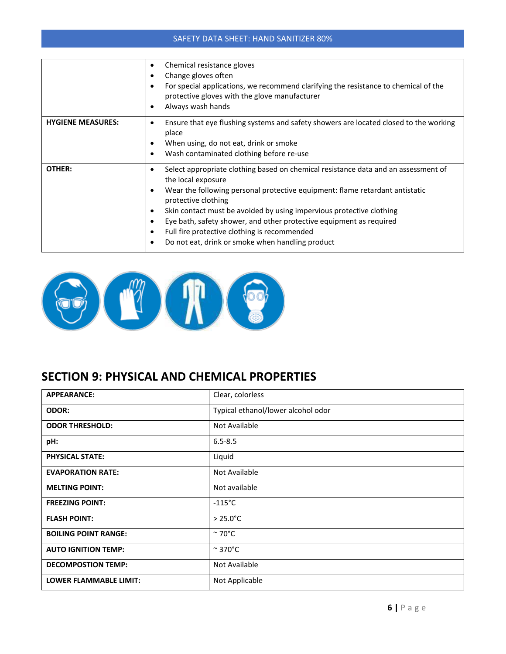|                          | Chemical resistance gloves<br>٠<br>Change gloves often<br>For special applications, we recommend clarifying the resistance to chemical of the<br>$\bullet$<br>protective gloves with the glove manufacturer<br>Always wash hands<br>٠                                                                                                                                                                                                                                                                               |
|--------------------------|---------------------------------------------------------------------------------------------------------------------------------------------------------------------------------------------------------------------------------------------------------------------------------------------------------------------------------------------------------------------------------------------------------------------------------------------------------------------------------------------------------------------|
| <b>HYGIENE MEASURES:</b> | Ensure that eye flushing systems and safety showers are located closed to the working<br>$\bullet$<br>place<br>When using, do not eat, drink or smoke<br>Wash contaminated clothing before re-use                                                                                                                                                                                                                                                                                                                   |
| OTHER:                   | Select appropriate clothing based on chemical resistance data and an assessment of<br>$\bullet$<br>the local exposure<br>Wear the following personal protective equipment: flame retardant antistatic<br>٠<br>protective clothing<br>Skin contact must be avoided by using impervious protective clothing<br>$\bullet$<br>Eye bath, safety shower, and other protective equipment as required<br>$\bullet$<br>Full fire protective clothing is recommended<br>٠<br>Do not eat, drink or smoke when handling product |



## **SECTION 9: PHYSICAL AND CHEMICAL PROPERTIES**

| <b>APPEARANCE:</b>            | Clear, colorless                   |
|-------------------------------|------------------------------------|
| <b>ODOR:</b>                  | Typical ethanol/lower alcohol odor |
| <b>ODOR THRESHOLD:</b>        | Not Available                      |
| pH:                           | $6.5 - 8.5$                        |
| <b>PHYSICAL STATE:</b>        | Liquid                             |
| <b>EVAPORATION RATE:</b>      | Not Available                      |
| <b>MELTING POINT:</b>         | Not available                      |
| <b>FREEZING POINT:</b>        | $-115^{\circ}$ C                   |
| <b>FLASH POINT:</b>           | $> 25.0^{\circ}$ C                 |
| <b>BOILING POINT RANGE:</b>   | $~\sim$ 70°C                       |
| <b>AUTO IGNITION TEMP:</b>    | $\approx$ 370°C                    |
| <b>DECOMPOSTION TEMP:</b>     | Not Available                      |
| <b>LOWER FLAMMABLE LIMIT:</b> | Not Applicable                     |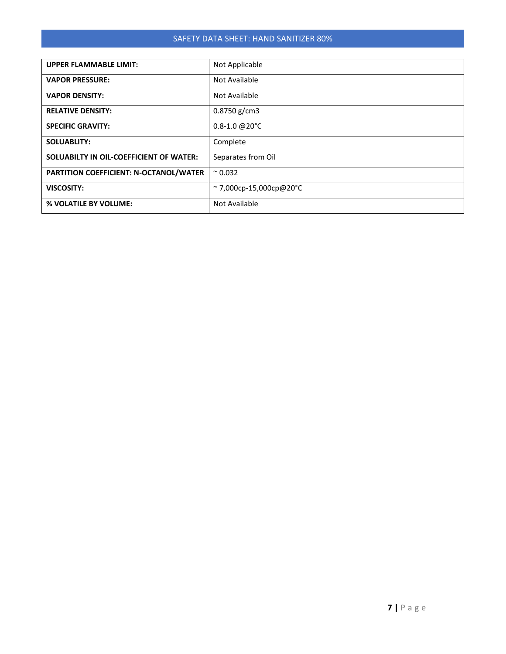| <b>UPPER FLAMMABLE LIMIT:</b>           | Not Applicable                  |  |
|-----------------------------------------|---------------------------------|--|
| <b>VAPOR PRESSURE:</b>                  | Not Available                   |  |
| <b>VAPOR DENSITY:</b>                   | Not Available                   |  |
| <b>RELATIVE DENSITY:</b>                | $0.8750$ g/cm3                  |  |
| <b>SPECIFIC GRAVITY:</b>                | $0.8 - 1.0$ @ $20^{\circ}$ C    |  |
| <b>SOLUABLITY:</b>                      | Complete                        |  |
| SOLUABILTY IN OIL-COEFFICIENT OF WATER: | Separates from Oil              |  |
| PARTITION COEFFICIENT: N-OCTANOL/WATER  | $^{\circ}$ 0.032                |  |
| <b>VISCOSITY:</b>                       | $\approx$ 7,000cp-15,000cp@20°C |  |
| % VOLATILE BY VOLUME:                   | Not Available                   |  |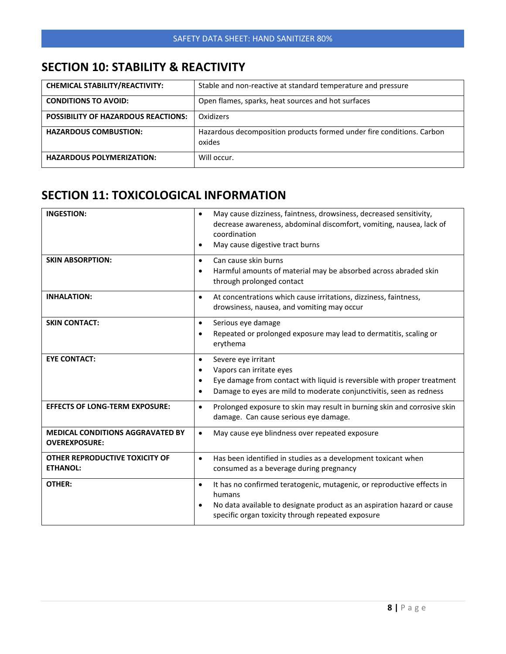## **SECTION 10: STABILITY & REACTIVITY**

| <b>CHEMICAL STABILITY/REACTIVITY:</b>      | Stable and non-reactive at standard temperature and pressure                    |
|--------------------------------------------|---------------------------------------------------------------------------------|
| <b>CONDITIONS TO AVOID:</b>                | Open flames, sparks, heat sources and hot surfaces                              |
| <b>POSSIBILITY OF HAZARDOUS REACTIONS:</b> | Oxidizers                                                                       |
| <b>HAZARDOUS COMBUSTION:</b>               | Hazardous decomposition products formed under fire conditions. Carbon<br>oxides |
| <b>HAZARDOUS POLYMERIZATION:</b>           | Will occur.                                                                     |

## **SECTION 11: TOXICOLOGICAL INFORMATION**

| <b>INGESTION:</b>                                               | May cause dizziness, faintness, drowsiness, decreased sensitivity,<br>$\bullet$<br>decrease awareness, abdominal discomfort, vomiting, nausea, lack of<br>coordination<br>May cause digestive tract burns<br>$\bullet$                                |  |
|-----------------------------------------------------------------|-------------------------------------------------------------------------------------------------------------------------------------------------------------------------------------------------------------------------------------------------------|--|
| <b>SKIN ABSORPTION:</b>                                         | Can cause skin burns<br>$\bullet$<br>Harmful amounts of material may be absorbed across abraded skin<br>$\bullet$<br>through prolonged contact                                                                                                        |  |
| <b>INHALATION:</b>                                              | At concentrations which cause irritations, dizziness, faintness,<br>$\bullet$<br>drowsiness, nausea, and vomiting may occur                                                                                                                           |  |
| <b>SKIN CONTACT:</b>                                            | Serious eye damage<br>$\bullet$<br>Repeated or prolonged exposure may lead to dermatitis, scaling or<br>$\bullet$<br>erythema                                                                                                                         |  |
| <b>EYE CONTACT:</b>                                             | Severe eye irritant<br>$\bullet$<br>Vapors can irritate eyes<br>$\bullet$<br>Eye damage from contact with liquid is reversible with proper treatment<br>$\bullet$<br>Damage to eyes are mild to moderate conjunctivitis, seen as redness<br>$\bullet$ |  |
| <b>EFFECTS OF LONG-TERM EXPOSURE:</b>                           | Prolonged exposure to skin may result in burning skin and corrosive skin<br>$\bullet$<br>damage. Can cause serious eye damage.                                                                                                                        |  |
| <b>MEDICAL CONDITIONS AGGRAVATED BY</b><br><b>OVEREXPOSURE:</b> | May cause eye blindness over repeated exposure<br>$\bullet$                                                                                                                                                                                           |  |
| OTHER REPRODUCTIVE TOXICITY OF<br><b>ETHANOL:</b>               | Has been identified in studies as a development toxicant when<br>$\bullet$<br>consumed as a beverage during pregnancy                                                                                                                                 |  |
| OTHER:                                                          | It has no confirmed teratogenic, mutagenic, or reproductive effects in<br>$\bullet$<br>humans<br>No data available to designate product as an aspiration hazard or cause<br>$\bullet$<br>specific organ toxicity through repeated exposure            |  |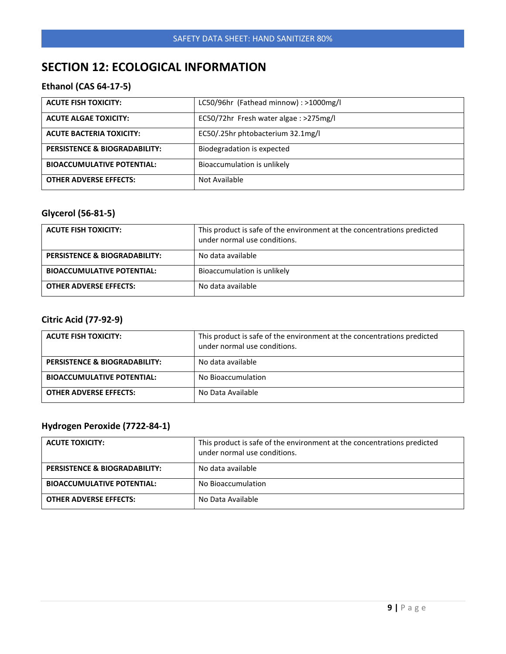## **SECTION 12: ECOLOGICAL INFORMATION**

#### **Ethanol (CAS 64-17-5)**

| <b>ACUTE FISH TOXICITY:</b>       | LC50/96hr (Fathead minnow): >1000mg/l  |
|-----------------------------------|----------------------------------------|
| <b>ACUTE ALGAE TOXICITY:</b>      | EC50/72hr Fresh water algae : >275mg/l |
| <b>ACUTE BACTERIA TOXICITY:</b>   | EC50/.25hr phtobacterium 32.1mg/l      |
| PERSISTENCE & BIOGRADABILITY:     | Biodegradation is expected             |
| <b>BIOACCUMULATIVE POTENTIAL:</b> | Bioaccumulation is unlikely            |
| <b>OTHER ADVERSE EFFECTS:</b>     | Not Available                          |

#### **Glycerol (56-81-5)**

| <b>ACUTE FISH TOXICITY:</b>              | This product is safe of the environment at the concentrations predicted<br>under normal use conditions. |
|------------------------------------------|---------------------------------------------------------------------------------------------------------|
| <b>PERSISTENCE &amp; BIOGRADABILITY:</b> | No data available                                                                                       |
| <b>BIOACCUMULATIVE POTENTIAL:</b>        | Bioaccumulation is unlikely                                                                             |
| <b>OTHER ADVERSE EFFECTS:</b>            | No data available                                                                                       |

#### **Citric Acid (77-92-9)**

| <b>ACUTE FISH TOXICITY:</b>       | This product is safe of the environment at the concentrations predicted<br>under normal use conditions. |
|-----------------------------------|---------------------------------------------------------------------------------------------------------|
| PERSISTENCE & BIOGRADABILITY:     | No data available                                                                                       |
| <b>BIOACCUMULATIVE POTENTIAL:</b> | No Bioaccumulation                                                                                      |
| <b>OTHER ADVERSE EFFECTS:</b>     | No Data Available                                                                                       |

#### **Hydrogen Peroxide (7722-84-1)**

| <b>ACUTE TOXICITY:</b>                   | This product is safe of the environment at the concentrations predicted<br>under normal use conditions. |
|------------------------------------------|---------------------------------------------------------------------------------------------------------|
| <b>PERSISTENCE &amp; BIOGRADABILITY:</b> | No data available                                                                                       |
| <b>BIOACCUMULATIVE POTENTIAL:</b>        | No Bioaccumulation                                                                                      |
| <b>OTHER ADVERSE EFFECTS:</b>            | No Data Available                                                                                       |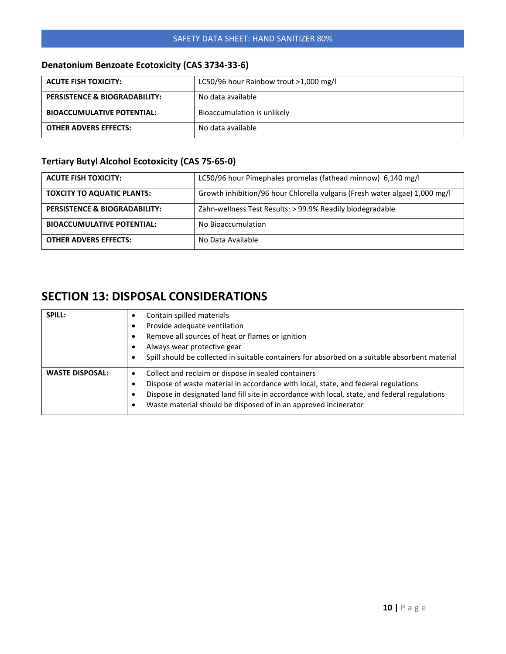#### **Denatonium Benzoate Ecotoxicity (CAS 3734-33-6)**

| <b>ACUTE FISH TOXICITY:</b>              | LC50/96 hour Rainbow trout >1,000 mg/l |  |
|------------------------------------------|----------------------------------------|--|
| <b>PERSISTENCE &amp; BIOGRADABILITY:</b> | No data available                      |  |
| <b>BIOACCUMULATIVE POTENTIAL:</b>        | Bioaccumulation is unlikely            |  |
| <b>OTHER ADVERS EFFECTS:</b>             | No data available                      |  |

#### **Tertiary Butyl Alcohol Ecotoxicity (CAS 75-65-0)**

| <b>ACUTE FISH TOXICITY:</b>              | LC50/96 hour Pimephales promelas (fathead minnow) 6,140 mg/l                |
|------------------------------------------|-----------------------------------------------------------------------------|
| <b>TOXCITY TO AQUATIC PLANTS:</b>        | Growth inhibition/96 hour Chlorella vulgaris (Fresh water algae) 1,000 mg/l |
| <b>PERSISTENCE &amp; BIOGRADABILITY:</b> | Zahn-wellness Test Results: > 99.9% Readily biodegradable                   |
| <b>BIOACCUMULATIVE POTENTIAL:</b>        | No Bioaccumulation                                                          |
| <b>OTHER ADVERS EFFECTS:</b>             | No Data Available                                                           |

## **SECTION 13: DISPOSAL CONSIDERATIONS**

| SPILL:                 | Contain spilled materials<br>٠<br>Provide adequate ventilation<br>٠<br>Remove all sources of heat or flames or ignition<br>٠<br>Always wear protective gear<br>٠<br>Spill should be collected in suitable containers for absorbed on a suitable absorbent material<br>٠                                                                           |
|------------------------|---------------------------------------------------------------------------------------------------------------------------------------------------------------------------------------------------------------------------------------------------------------------------------------------------------------------------------------------------|
| <b>WASTE DISPOSAL:</b> | Collect and reclaim or dispose in sealed containers<br>$\bullet$<br>Dispose of waste material in accordance with local, state, and federal regulations<br>٠<br>Dispose in designated land fill site in accordance with local, state, and federal regulations<br>٠<br>Waste material should be disposed of in an approved incinerator<br>$\bullet$ |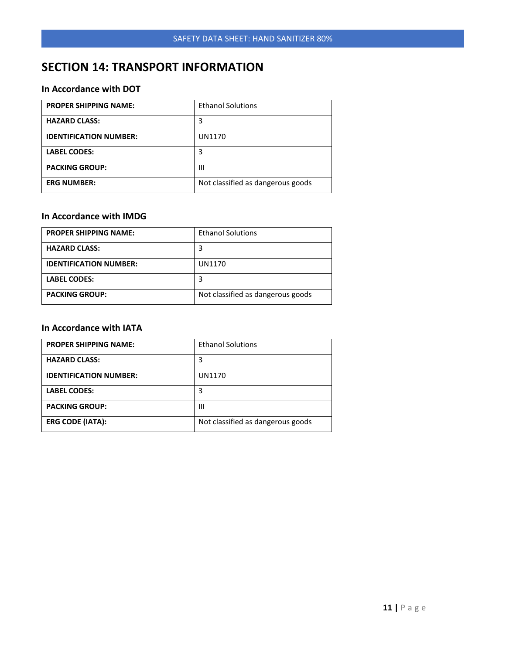## **SECTION 14: TRANSPORT INFORMATION**

#### **In Accordance with DOT**

| <b>PROPER SHIPPING NAME:</b>  | <b>Ethanol Solutions</b>          |
|-------------------------------|-----------------------------------|
| <b>HAZARD CLASS:</b>          | 3                                 |
| <b>IDENTIFICATION NUMBER:</b> | UN1170                            |
| <b>LABEL CODES:</b>           | 3                                 |
| <b>PACKING GROUP:</b>         | Ш                                 |
| <b>ERG NUMBER:</b>            | Not classified as dangerous goods |

#### **In Accordance with IMDG**

| <b>PROPER SHIPPING NAME:</b>  | <b>Ethanol Solutions</b>          |
|-------------------------------|-----------------------------------|
| <b>HAZARD CLASS:</b>          |                                   |
| <b>IDENTIFICATION NUMBER:</b> | UN1170                            |
| <b>LABEL CODES:</b>           |                                   |
| <b>PACKING GROUP:</b>         | Not classified as dangerous goods |

#### **In Accordance with IATA**

| <b>PROPER SHIPPING NAME:</b>  | <b>Ethanol Solutions</b>          |
|-------------------------------|-----------------------------------|
| <b>HAZARD CLASS:</b>          | 3                                 |
| <b>IDENTIFICATION NUMBER:</b> | UN1170                            |
| <b>LABEL CODES:</b>           | 3                                 |
| <b>PACKING GROUP:</b>         | Ш                                 |
| <b>ERG CODE (IATA):</b>       | Not classified as dangerous goods |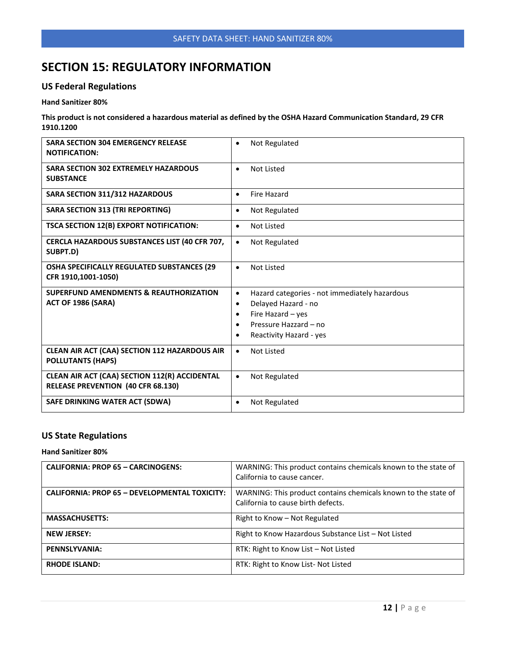## **SECTION 15: REGULATORY INFORMATION**

#### **US Federal Regulations**

#### **Hand Sanitizer 80%**

**This product is not considered a hazardous material as defined by the OSHA Hazard Communication Standard, 29 CFR 1910.1200**

| <b>SARA SECTION 304 EMERGENCY RELEASE</b>                                      | Not Regulated                                                                                                                                                                                          |
|--------------------------------------------------------------------------------|--------------------------------------------------------------------------------------------------------------------------------------------------------------------------------------------------------|
| <b>NOTIFICATION:</b>                                                           | $\bullet$                                                                                                                                                                                              |
| <b>SARA SECTION 302 EXTREMELY HAZARDOUS</b>                                    | Not Listed                                                                                                                                                                                             |
| <b>SUBSTANCE</b>                                                               | $\bullet$                                                                                                                                                                                              |
| <b>SARA SECTION 311/312 HAZARDOUS</b>                                          | <b>Fire Hazard</b><br>$\bullet$                                                                                                                                                                        |
| <b>SARA SECTION 313 (TRI REPORTING)</b>                                        | Not Regulated<br>$\bullet$                                                                                                                                                                             |
| TSCA SECTION 12(B) EXPORT NOTIFICATION:                                        | <b>Not Listed</b><br>$\bullet$                                                                                                                                                                         |
| CERCLA HAZARDOUS SUBSTANCES LIST (40 CFR 707,                                  | Not Regulated                                                                                                                                                                                          |
| SUBPT.D)                                                                       | $\bullet$                                                                                                                                                                                              |
| OSHA SPECIFICALLY REGULATED SUBSTANCES (29                                     | <b>Not Listed</b>                                                                                                                                                                                      |
| CFR 1910,1001-1050)                                                            | $\bullet$                                                                                                                                                                                              |
| <b>SUPERFUND AMENDMENTS &amp; REAUTHORIZATION</b><br><b>ACT OF 1986 (SARA)</b> | Hazard categories - not immediately hazardous<br>$\bullet$<br>Delayed Hazard - no<br>$\bullet$<br>Fire Hazard - yes<br>$\bullet$<br>Pressure Hazzard - no<br>Ċ<br>Reactivity Hazard - yes<br>$\bullet$ |
| CLEAN AIR ACT (CAA) SECTION 112 HAZARDOUS AIR                                  | Not Listed                                                                                                                                                                                             |
| <b>POLLUTANTS (HAPS)</b>                                                       | $\bullet$                                                                                                                                                                                              |
| CLEAN AIR ACT (CAA) SECTION 112(R) ACCIDENTAL                                  | Not Regulated                                                                                                                                                                                          |
| <b>RELEASE PREVENTION (40 CFR 68.130)</b>                                      | $\bullet$                                                                                                                                                                                              |
| SAFE DRINKING WATER ACT (SDWA)                                                 | Not Regulated<br>$\bullet$                                                                                                                                                                             |

#### **US State Regulations**

#### **Hand Sanitizer 80%**

| <b>CALIFORNIA: PROP 65 - CARCINOGENS:</b>     | WARNING: This product contains chemicals known to the state of<br>California to cause cancer.        |
|-----------------------------------------------|------------------------------------------------------------------------------------------------------|
| CALIFORNIA: PROP 65 - DEVELOPMENTAL TOXICITY: | WARNING: This product contains chemicals known to the state of<br>California to cause birth defects. |
| <b>MASSACHUSETTS:</b>                         | Right to Know - Not Regulated                                                                        |
| <b>NEW JERSEY:</b>                            | Right to Know Hazardous Substance List - Not Listed                                                  |
| PENNSLYVANIA:                                 | RTK: Right to Know List - Not Listed                                                                 |
| <b>RHODE ISLAND:</b>                          | RTK: Right to Know List- Not Listed                                                                  |